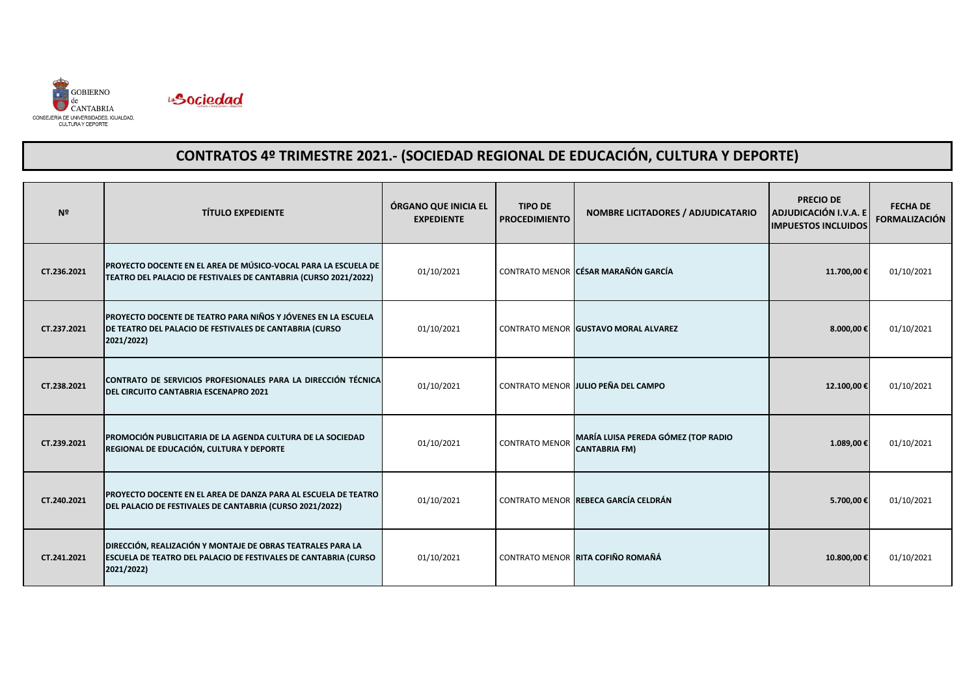



| N <sup>2</sup> | <b>TÍTULO EXPEDIENTE</b>                                                                                                                            | ÓRGANO QUE INICIA EL<br><b>EXPEDIENTE</b> | <b>TIPO DE</b><br><b>PROCEDIMIENTO</b> | <b>NOMBRE LICITADORES / ADJUDICATARIO</b>                   | <b>PRECIO DE</b><br>ADJUDICACIÓN I.V.A. E<br><b>IMPUESTOS INCLUIDOS</b> | <b>FECHA DE</b><br><b>FORMALIZACIÓN</b> |
|----------------|-----------------------------------------------------------------------------------------------------------------------------------------------------|-------------------------------------------|----------------------------------------|-------------------------------------------------------------|-------------------------------------------------------------------------|-----------------------------------------|
| CT.236.2021    | <b>PROYECTO DOCENTE EN EL AREA DE MÚSICO-VOCAL PARA LA ESCUELA DE</b><br>TEATRO DEL PALACIO DE FESTIVALES DE CANTABRIA (CURSO 2021/2022)            | 01/10/2021                                |                                        | CONTRATO MENOR CÉSAR MARAÑÓN GARCÍA                         | 11.700,00€                                                              | 01/10/2021                              |
| CT.237.2021    | PROYECTO DOCENTE DE TEATRO PARA NIÑOS Y JÓVENES EN LA ESCUELA<br>DE TEATRO DEL PALACIO DE FESTIVALES DE CANTABRIA (CURSO<br>2021/2022)              | 01/10/2021                                |                                        | CONTRATO MENOR GUSTAVO MORAL ALVAREZ                        | 8.000,00€                                                               | 01/10/2021                              |
| CT.238.2021    | CONTRATO DE SERVICIOS PROFESIONALES PARA LA DIRECCIÓN TÉCNICA<br><b>DEL CIRCUITO CANTABRIA ESCENAPRO 2021</b>                                       | 01/10/2021                                |                                        | CONTRATO MENOR JULIO PEÑA DEL CAMPO                         | 12.100,00€                                                              | 01/10/2021                              |
| CT.239.2021    | PROMOCIÓN PUBLICITARIA DE LA AGENDA CULTURA DE LA SOCIEDAD<br>REGIONAL DE EDUCACIÓN, CULTURA Y DEPORTE                                              | 01/10/2021                                | <b>CONTRATO MENOR</b>                  | MARÍA LUISA PEREDA GÓMEZ (TOP RADIO<br><b>CANTABRIA FM)</b> | 1.089,00€                                                               | 01/10/2021                              |
| CT.240.2021    | <b>IPROYECTO DOCENTE EN EL AREA DE DANZA PARA AL ESCUELA DE TEATRO</b><br>DEL PALACIO DE FESTIVALES DE CANTABRIA (CURSO 2021/2022)                  | 01/10/2021                                |                                        | CONTRATO MENOR REBECA GARCÍA CELDRÁN                        | 5.700,00€                                                               | 01/10/2021                              |
| CT.241.2021    | <b>DIRECCIÓN, REALIZACIÓN Y MONTAJE DE OBRAS TEATRALES PARA LA</b><br>ESCUELA DE TEATRO DEL PALACIO DE FESTIVALES DE CANTABRIA (CURSO<br>2021/2022) | 01/10/2021                                |                                        | CONTRATO MENOR RITA COFIÑO ROMAÑÁ                           | 10.800,00€                                                              | 01/10/2021                              |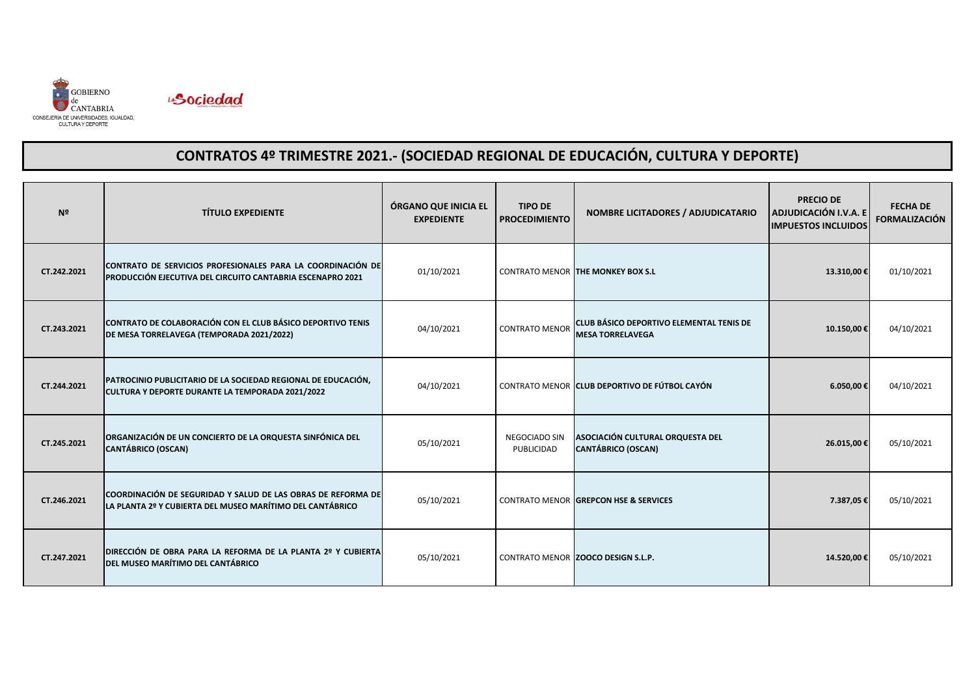



| N <sup>2</sup> | <b>TÍTULO EXPEDIENTE</b>                                                                                                  | ÓRGANO QUE INICIA EL<br><b>EXPEDIENTE</b> | <b>TIPO DE</b><br><b>PROCEDIMIENTO</b> | <b>NOMBRE LICITADORES / ADJUDICATARIO</b>                           | <b>PRECIO DE</b><br>ADJUDICACIÓN I.V.A. E<br><b>IMPUESTOS INCLUIDOS</b> | <b>FECHA DE</b><br><b>FORMALIZACIÓN</b> |
|----------------|---------------------------------------------------------------------------------------------------------------------------|-------------------------------------------|----------------------------------------|---------------------------------------------------------------------|-------------------------------------------------------------------------|-----------------------------------------|
| CT.242.2021    | CONTRATO DE SERVICIOS PROFESIONALES PARA LA COORDINACIÓN DE<br>PRODUCCIÓN EJECUTIVA DEL CIRCUITO CANTABRIA ESCENAPRO 2021 | 01/10/2021                                |                                        | <b>CONTRATO MENOR THE MONKEY BOX S.L</b>                            | 13.310,00€                                                              | 01/10/2021                              |
| CT.243.2021    | CONTRATO DE COLABORACIÓN CON EL CLUB BÁSICO DEPORTIVO TENIS<br>DE MESA TORRELAVEGA (TEMPORADA 2021/2022)                  | 04/10/2021                                | <b>CONTRATO MENOR</b>                  | CLUB BÁSICO DEPORTIVO ELEMENTAL TENIS DE<br><b>MESA TORRELAVEGA</b> | 10.150,00€                                                              | 04/10/2021                              |
| CT.244.2021    | PATROCINIO PUBLICITARIO DE LA SOCIEDAD REGIONAL DE EDUCACIÓN,<br>CULTURA Y DEPORTE DURANTE LA TEMPORADA 2021/2022         | 04/10/2021                                |                                        | CONTRATO MENOR CLUB DEPORTIVO DE FÚTBOL CAYÓN                       | 6.050,00€                                                               | 04/10/2021                              |
| CT.245.2021    | ORGANIZACIÓN DE UN CONCIERTO DE LA ORQUESTA SINFÓNICA DEL<br><b>CANTÁBRICO (OSCAN)</b>                                    | 05/10/2021                                | NEGOCIADO SIN<br>PUBLICIDAD            | ASOCIACIÓN CULTURAL ORQUESTA DEL<br><b>CANTÁBRICO (OSCAN)</b>       | 26.015,00€                                                              | 05/10/2021                              |
| CT.246.2021    | COORDINACIÓN DE SEGURIDAD Y SALUD DE LAS OBRAS DE REFORMA DE<br>LA PLANTA 2º Y CUBIERTA DEL MUSEO MARÍTIMO DEL CANTÁBRICO | 05/10/2021                                |                                        | <b>CONTRATO MENOR GREPCON HSE &amp; SERVICES</b>                    | 7.387,05€                                                               | 05/10/2021                              |
| CT.247.2021    | DIRECCIÓN DE OBRA PARA LA REFORMA DE LA PLANTA 2º Y CUBIERTA<br>DEL MUSEO MARÍTIMO DEL CANTÁBRICO                         | 05/10/2021                                |                                        | CONTRATO MENOR ZOOCO DESIGN S.L.P.                                  | 14.520,00€                                                              | 05/10/2021                              |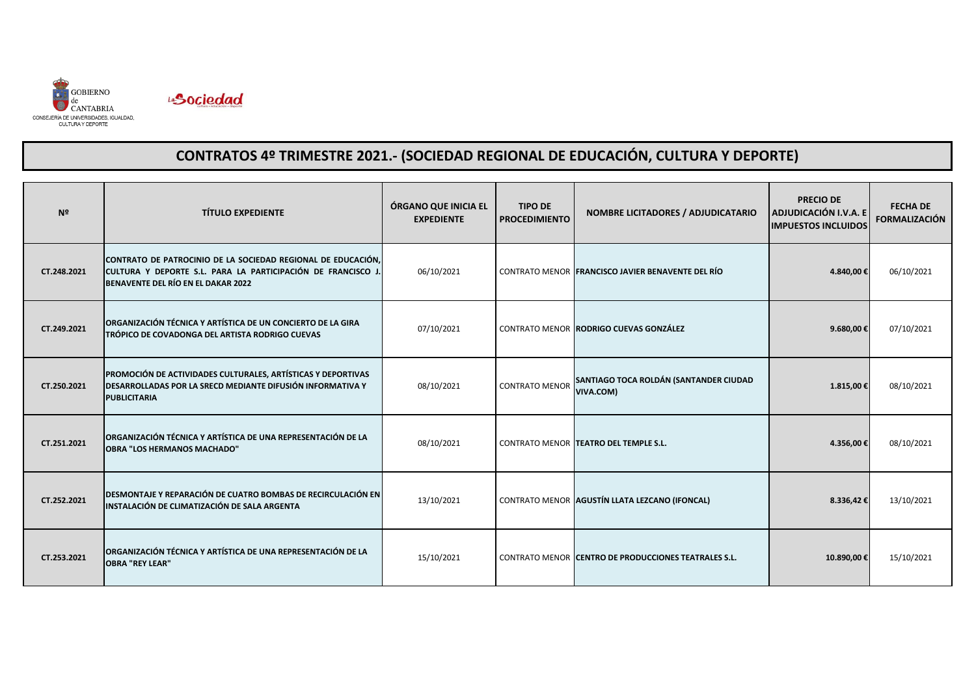



| Nº          | <b>TÍTULO EXPEDIENTE</b>                                                                                                                                           | ÓRGANO QUE INICIA EL<br><b>EXPEDIENTE</b> | <b>TIPO DE</b><br><b>PROCEDIMIENTO</b> | NOMBRE LICITADORES / ADJUDICATARIO                   | <b>PRECIO DE</b><br><b>ADJUDICACIÓN I.V.A. E</b><br><b>IMPUESTOS INCLUIDOS</b> | <b>FECHA DE</b><br><b>FORMALIZACIÓN</b> |
|-------------|--------------------------------------------------------------------------------------------------------------------------------------------------------------------|-------------------------------------------|----------------------------------------|------------------------------------------------------|--------------------------------------------------------------------------------|-----------------------------------------|
| CT.248.2021 | CONTRATO DE PATROCINIO DE LA SOCIEDAD REGIONAL DE EDUCACIÓN,<br>CULTURA Y DEPORTE S.L. PARA LA PARTICIPACIÓN DE FRANCISCO J.<br>BENAVENTE DEL RÍO EN EL DAKAR 2022 | 06/10/2021                                |                                        | CONTRATO MENOR FRANCISCO JAVIER BENAVENTE DEL RÍO    | 4.840,00€                                                                      | 06/10/2021                              |
| CT.249.2021 | ORGANIZACIÓN TÉCNICA Y ARTÍSTICA DE UN CONCIERTO DE LA GIRA<br>TRÓPICO DE COVADONGA DEL ARTISTA RODRIGO CUEVAS                                                     | 07/10/2021                                |                                        | CONTRATO MENOR RODRIGO CUEVAS GONZÁLEZ               | 9.680,00€                                                                      | 07/10/2021                              |
| CT.250.2021 | PROMOCIÓN DE ACTIVIDADES CULTURALES, ARTÍSTICAS Y DEPORTIVAS<br><b>DESARROLLADAS POR LA SRECD MEDIANTE DIFUSIÓN INFORMATIVA Y</b><br><b>PUBLICITARIA</b>           | 08/10/2021                                | <b>CONTRATO MENOR</b>                  | SANTIAGO TOCA ROLDÁN (SANTANDER CIUDAD<br>VIVA.COM)  | 1.815,00€                                                                      | 08/10/2021                              |
| CT.251.2021 | ORGANIZACIÓN TÉCNICA Y ARTÍSTICA DE UNA REPRESENTACIÓN DE LA<br><b>OBRA "LOS HERMANOS MACHADO"</b>                                                                 | 08/10/2021                                |                                        | CONTRATO MENOR TEATRO DEL TEMPLE S.L.                | 4.356,00€                                                                      | 08/10/2021                              |
| CT.252.2021 | DESMONTAJE Y REPARACIÓN DE CUATRO BOMBAS DE RECIRCULACIÓN EN<br>INSTALACIÓN DE CLIMATIZACIÓN DE SALA ARGENTA                                                       | 13/10/2021                                |                                        | CONTRATO MENOR AGUSTÍN LLATA LEZCANO (IFONCAL)       | 8.336,42€                                                                      | 13/10/2021                              |
| CT.253.2021 | ORGANIZACIÓN TÉCNICA Y ARTÍSTICA DE UNA REPRESENTACIÓN DE LA<br><b>OBRA "REY LEAR"</b>                                                                             | 15/10/2021                                |                                        | CONTRATO MENOR CENTRO DE PRODUCCIONES TEATRALES S.L. | 10.890,00€                                                                     | 15/10/2021                              |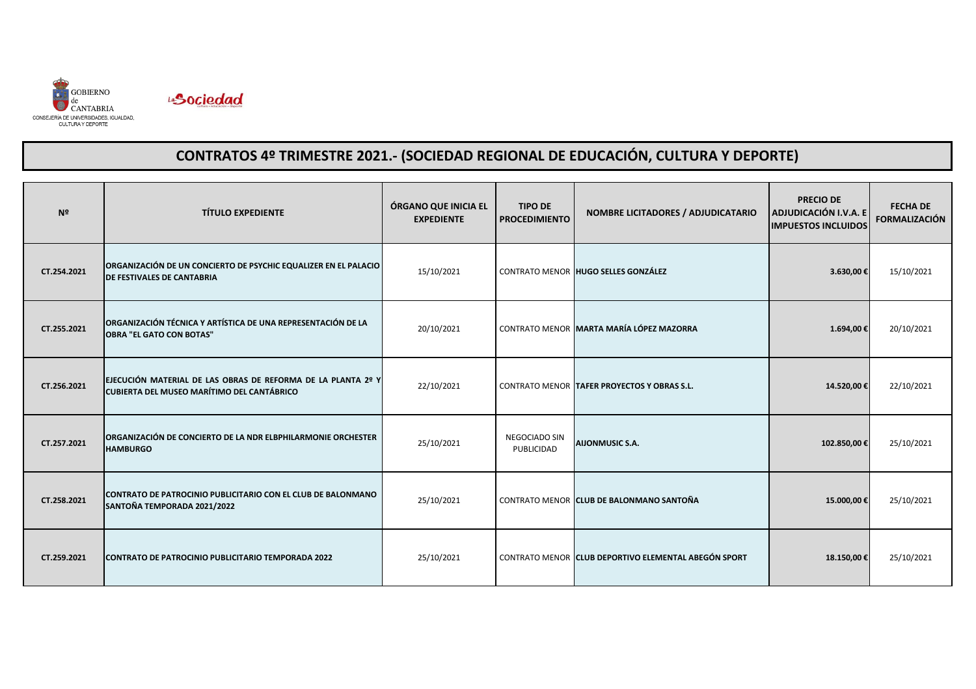



| N <sup>2</sup> | <b>TÍTULO EXPEDIENTE</b>                                                                                          | ÓRGANO QUE INICIA EL<br><b>EXPEDIENTE</b> | <b>TIPO DE</b><br><b>PROCEDIMIENTO</b> | NOMBRE LICITADORES / ADJUDICATARIO                   | <b>PRECIO DE</b><br>ADJUDICACIÓN I.V.A. E<br><b>IMPUESTOS INCLUIDOS</b> | <b>FECHA DE</b><br><b>FORMALIZACIÓN</b> |
|----------------|-------------------------------------------------------------------------------------------------------------------|-------------------------------------------|----------------------------------------|------------------------------------------------------|-------------------------------------------------------------------------|-----------------------------------------|
| CT.254.2021    | ORGANIZACIÓN DE UN CONCIERTO DE PSYCHIC EQUALIZER EN EL PALACIO<br><b>DE FESTIVALES DE CANTABRIA</b>              | 15/10/2021                                |                                        | CONTRATO MENOR HUGO SELLES GONZÁLEZ                  | 3.630,00€                                                               | 15/10/2021                              |
| CT.255.2021    | ORGANIZACIÓN TÉCNICA Y ARTÍSTICA DE UNA REPRESENTACIÓN DE LA<br><b>OBRA "EL GATO CON BOTAS"</b>                   | 20/10/2021                                |                                        | CONTRATO MENOR MARTA MARÍA LÓPEZ MAZORRA             | 1.694,00€                                                               | 20/10/2021                              |
| CT.256.2021    | EJECUCIÓN MATERIAL DE LAS OBRAS DE REFORMA DE LA PLANTA 2º Y<br><b>CUBIERTA DEL MUSEO MARÍTIMO DEL CANTÁBRICO</b> | 22/10/2021                                |                                        | CONTRATO MENOR TAFER PROYECTOS Y OBRAS S.L.          | 14.520,00€                                                              | 22/10/2021                              |
| CT.257.2021    | <b>ORGANIZACIÓN DE CONCIERTO DE LA NDR ELBPHILARMONIE ORCHESTER</b><br><b>HAMBURGO</b>                            | 25/10/2021                                | NEGOCIADO SIN<br>PUBLICIDAD            | <b>AIJONMUSIC S.A.</b>                               | 102.850,00€                                                             | 25/10/2021                              |
| CT.258.2021    | <b>CONTRATO DE PATROCINIO PUBLICITARIO CON EL CLUB DE BALONMANO</b><br>SANTOÑA TEMPORADA 2021/2022                | 25/10/2021                                |                                        | CONTRATO MENOR CLUB DE BALONMANO SANTOÑA             | 15.000,00€                                                              | 25/10/2021                              |
| CT.259.2021    | CONTRATO DE PATROCINIO PUBLICITARIO TEMPORADA 2022                                                                | 25/10/2021                                |                                        | CONTRATO MENOR CLUB DEPORTIVO ELEMENTAL ABEGÓN SPORT | 18.150,00€                                                              | 25/10/2021                              |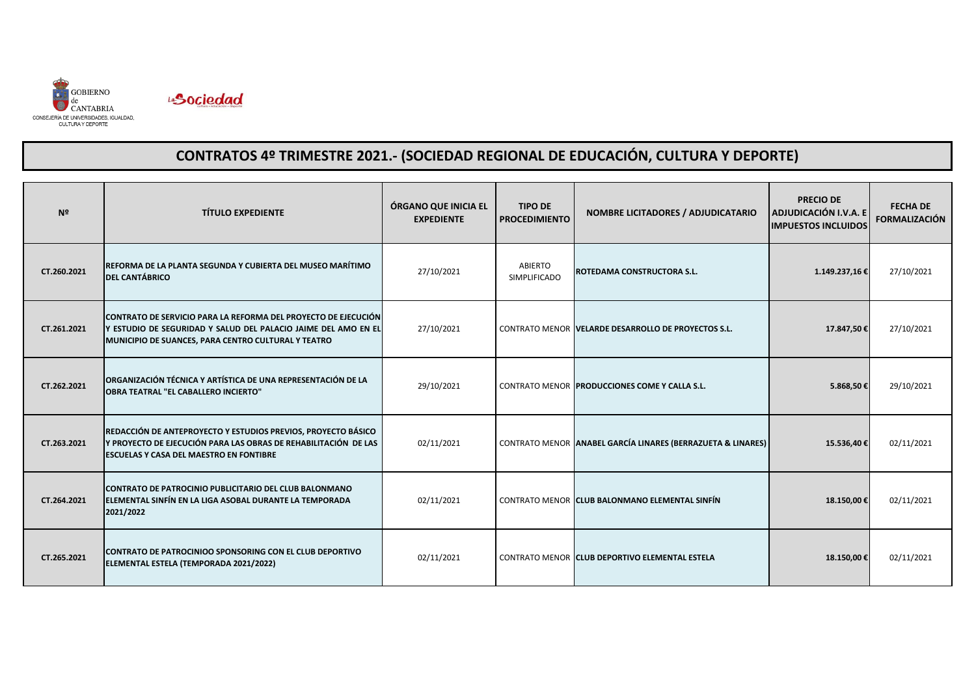



| Nº          | <b>TÍTULO EXPEDIENTE</b>                                                                                                                                                                | ÓRGANO QUE INICIA EL<br><b>EXPEDIENTE</b> | <b>TIPO DE</b><br><b>PROCEDIMIENTO</b> | <b>NOMBRE LICITADORES / ADJUDICATARIO</b>                   | <b>PRECIO DE</b><br>ADJUDICACIÓN I.V.A. E<br><b>IMPUESTOS INCLUIDOS</b> | <b>FECHA DE</b><br><b>FORMALIZACIÓN</b> |
|-------------|-----------------------------------------------------------------------------------------------------------------------------------------------------------------------------------------|-------------------------------------------|----------------------------------------|-------------------------------------------------------------|-------------------------------------------------------------------------|-----------------------------------------|
| CT.260.2021 | REFORMA DE LA PLANTA SEGUNDA Y CUBIERTA DEL MUSEO MARÍTIMO<br><b>DEL CANTÁBRICO</b>                                                                                                     | 27/10/2021                                | ABIERTO<br><b>SIMPLIFICADO</b>         | ROTEDAMA CONSTRUCTORA S.L.                                  | 1.149.237,16€                                                           | 27/10/2021                              |
| CT.261.2021 | CONTRATO DE SERVICIO PARA LA REFORMA DEL PROYECTO DE EJECUCIÓN<br>Y ESTUDIO DE SEGURIDAD Y SALUD DEL PALACIO JAIME DEL AMO EN EL<br>MUNICIPIO DE SUANCES, PARA CENTRO CULTURAL Y TEATRO | 27/10/2021                                |                                        | CONTRATO MENOR VELARDE DESARROLLO DE PROYECTOS S.L.         | 17.847,50€                                                              | 27/10/2021                              |
| CT.262.2021 | ORGANIZACIÓN TÉCNICA Y ARTÍSTICA DE UNA REPRESENTACIÓN DE LA<br><b>OBRA TEATRAL "EL CABALLERO INCIERTO"</b>                                                                             | 29/10/2021                                |                                        | CONTRATO MENOR PRODUCCIONES COME Y CALLA S.L.               | 5.868,50€                                                               | 29/10/2021                              |
| CT.263.2021 | REDACCIÓN DE ANTEPROYECTO Y ESTUDIOS PREVIOS, PROYECTO BÁSICO<br>Y PROYECTO DE EJECUCIÓN PARA LAS OBRAS DE REHABILITACIÓN DE LAS<br><b>ESCUELAS Y CASA DEL MAESTRO EN FONTIBRE</b>      | 02/11/2021                                |                                        | CONTRATO MENOR ANABEL GARCÍA LINARES (BERRAZUETA & LINARES) | 15.536,40€                                                              | 02/11/2021                              |
| CT.264.2021 | <b>CONTRATO DE PATROCINIO PUBLICITARIO DEL CLUB BALONMANO</b><br>ELEMENTAL SINFÍN EN LA LIGA ASOBAL DURANTE LA TEMPORADA<br>2021/2022                                                   | 02/11/2021                                |                                        | CONTRATO MENOR CLUB BALONMANO ELEMENTAL SINFÍN              | 18.150,00€                                                              | 02/11/2021                              |
| CT.265.2021 | <b>ICONTRATO DE PATROCINIOO SPONSORING CON EL CLUB DEPORTIVO</b><br>ELEMENTAL ESTELA (TEMPORADA 2021/2022)                                                                              | 02/11/2021                                |                                        | CONTRATO MENOR ICLUB DEPORTIVO ELEMENTAL ESTELA             | 18.150,00€                                                              | 02/11/2021                              |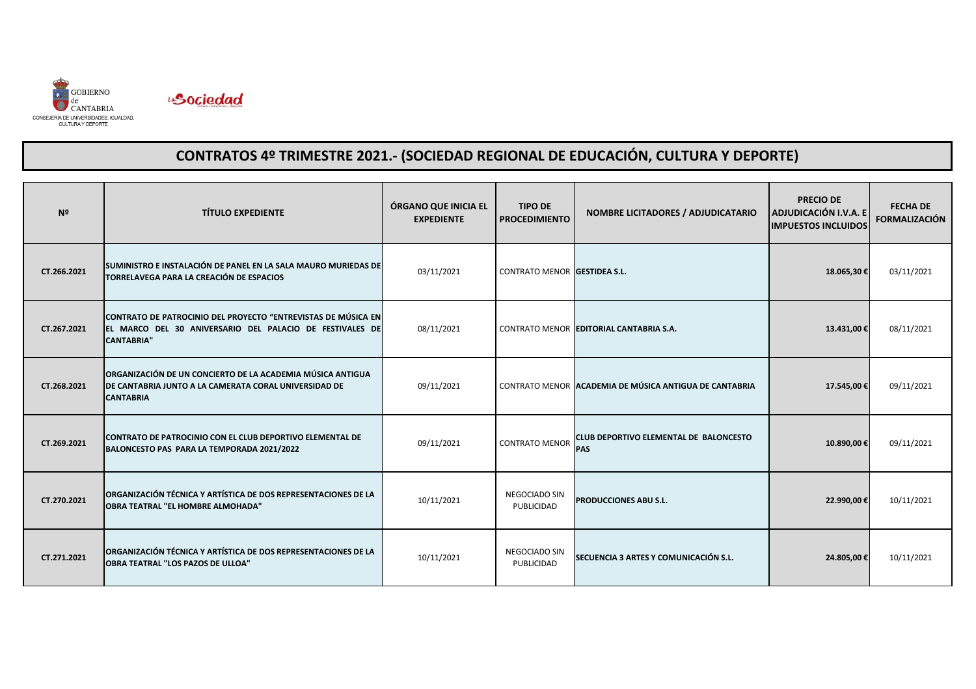



| N <sup>2</sup> | <b>TÍTULO EXPEDIENTE</b>                                                                                                                       | ÓRGANO QUE INICIA EL<br><b>EXPEDIENTE</b> | <b>TIPO DE</b><br><b>PROCEDIMIENTO</b> | <b>NOMBRE LICITADORES / ADJUDICATARIO</b>                   | <b>PRECIO DE</b><br>ADJUDICACIÓN I.V.A. E<br><b>IMPUESTOS INCLUIDOS</b> | <b>FECHA DE</b><br><b>FORMALIZACIÓN</b> |
|----------------|------------------------------------------------------------------------------------------------------------------------------------------------|-------------------------------------------|----------------------------------------|-------------------------------------------------------------|-------------------------------------------------------------------------|-----------------------------------------|
| CT.266.2021    | SUMINISTRO E INSTALACIÓN DE PANEL EN LA SALA MAURO MURIEDAS DE<br>TORRELAVEGA PARA LA CREACIÓN DE ESPACIOS                                     | 03/11/2021                                | <b>CONTRATO MENOR GESTIDEA S.L.</b>    |                                                             | 18.065,30€                                                              | 03/11/2021                              |
| CT.267.2021    | CONTRATO DE PATROCINIO DEL PROYECTO "ENTREVISTAS DE MÚSICA EN<br>EL MARCO DEL 30 ANIVERSARIO DEL PALACIO DE FESTIVALES DE<br><b>CANTABRIA"</b> | 08/11/2021                                |                                        | CONTRATO MENOR EDITORIAL CANTABRIA S.A.                     | 13.431,00€                                                              | 08/11/2021                              |
| CT.268.2021    | ORGANIZACIÓN DE UN CONCIERTO DE LA ACADEMIA MÚSICA ANTIGUA<br>DE CANTABRIA JUNTO A LA CAMERATA CORAL UNIVERSIDAD DE<br><b>CANTABRIA</b>        | 09/11/2021                                |                                        | CONTRATO MENOR ACADEMIA DE MÚSICA ANTIGUA DE CANTABRIA      | 17.545,00€                                                              | 09/11/2021                              |
| CT.269.2021    | CONTRATO DE PATROCINIO CON EL CLUB DEPORTIVO ELEMENTAL DE<br>BALONCESTO PAS PARA LA TEMPORADA 2021/2022                                        | 09/11/2021                                | <b>CONTRATO MENOR</b>                  | <b>CLUB DEPORTIVO ELEMENTAL DE BALONCESTO</b><br><b>PAS</b> | 10.890,00€                                                              | 09/11/2021                              |
| CT.270.2021    | ORGANIZACIÓN TÉCNICA Y ARTÍSTICA DE DOS REPRESENTACIONES DE LA<br><b>OBRA TEATRAL "EL HOMBRE ALMOHADA"</b>                                     | 10/11/2021                                | <b>NEGOCIADO SIN</b><br>PUBLICIDAD     | PRODUCCIONES ABU S.L.                                       | 22.990,00€                                                              | 10/11/2021                              |
| CT.271.2021    | ORGANIZACIÓN TÉCNICA Y ARTÍSTICA DE DOS REPRESENTACIONES DE LA<br><b>OBRA TEATRAL "LOS PAZOS DE ULLOA"</b>                                     | 10/11/2021                                | <b>NEGOCIADO SIN</b><br>PUBLICIDAD     | SECUENCIA 3 ARTES Y COMUNICACIÓN S.L.                       | 24.805,00€                                                              | 10/11/2021                              |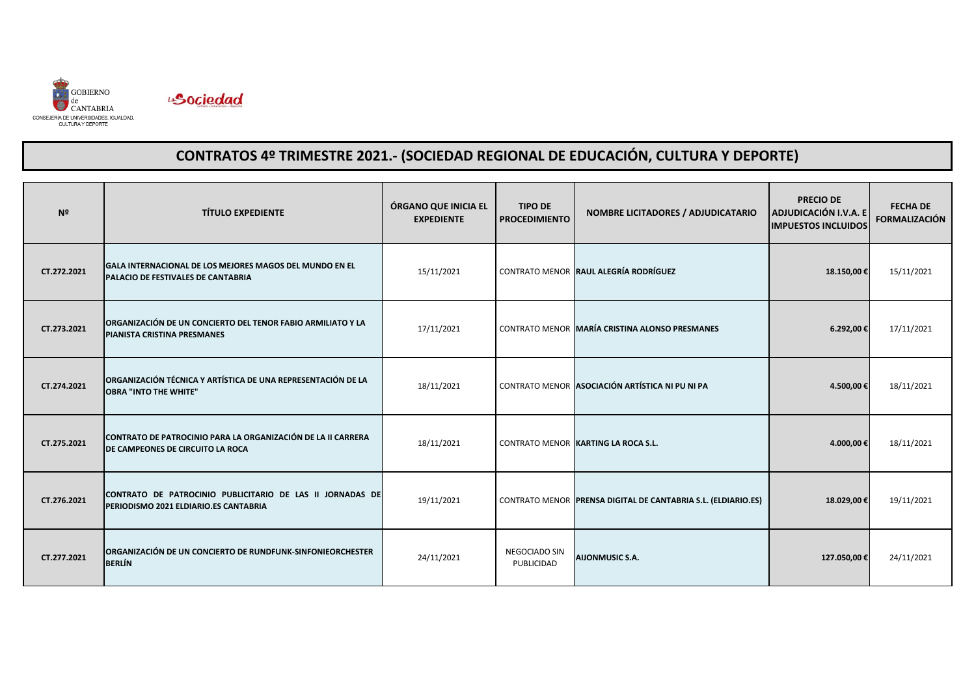



| N <sup>2</sup> | <b>TÍTULO EXPEDIENTE</b>                                                                                | ÓRGANO QUE INICIA EL<br><b>EXPEDIENTE</b> | <b>TIPO DE</b><br><b>PROCEDIMIENTO</b> | NOMBRE LICITADORES / ADJUDICATARIO                            | <b>PRECIO DE</b><br>ADJUDICACIÓN I.V.A. E<br><b>IMPUESTOS INCLUIDOS</b> | <b>FECHA DE</b><br><b>FORMALIZACIÓN</b> |
|----------------|---------------------------------------------------------------------------------------------------------|-------------------------------------------|----------------------------------------|---------------------------------------------------------------|-------------------------------------------------------------------------|-----------------------------------------|
| CT.272.2021    | GALA INTERNACIONAL DE LOS MEJORES MAGOS DEL MUNDO EN EL<br><b>PALACIO DE FESTIVALES DE CANTABRIA</b>    | 15/11/2021                                |                                        | CONTRATO MENOR RAUL ALEGRÍA RODRÍGUEZ                         | 18.150,00€                                                              | 15/11/2021                              |
| CT.273.2021    | ORGANIZACIÓN DE UN CONCIERTO DEL TENOR FABIO ARMILIATO Y LA<br><b>PIANISTA CRISTINA PRESMANES</b>       | 17/11/2021                                |                                        | CONTRATO MENOR MARÍA CRISTINA ALONSO PRESMANES                | 6.292,00€                                                               | 17/11/2021                              |
| CT.274.2021    | ORGANIZACIÓN TÉCNICA Y ARTÍSTICA DE UNA REPRESENTACIÓN DE LA<br><b>OBRA "INTO THE WHITE"</b>            | 18/11/2021                                |                                        | CONTRATO MENOR ASOCIACIÓN ARTÍSTICA NI PU NI PA               | 4.500,00€                                                               | 18/11/2021                              |
| CT.275.2021    | CONTRATO DE PATROCINIO PARA LA ORGANIZACIÓN DE LA II CARRERA<br><b>DE CAMPEONES DE CIRCUITO LA ROCA</b> | 18/11/2021                                |                                        | CONTRATO MENOR KARTING LA ROCA S.L.                           | 4.000,00€                                                               | 18/11/2021                              |
| CT.276.2021    | CONTRATO DE PATROCINIO PUBLICITARIO DE LAS II JORNADAS DE<br>PERIODISMO 2021 ELDIARIO.ES CANTABRIA      | 19/11/2021                                |                                        | CONTRATO MENOR PRENSA DIGITAL DE CANTABRIA S.L. (ELDIARIO.ES) | 18.029,00€                                                              | 19/11/2021                              |
| CT.277.2021    | ORGANIZACIÓN DE UN CONCIERTO DE RUNDFUNK-SINFONIEORCHESTER<br><b>BERLÍN</b>                             | 24/11/2021                                | NEGOCIADO SIN<br>PUBLICIDAD            | <b>AIJONMUSIC S.A.</b>                                        | 127.050,00€                                                             | 24/11/2021                              |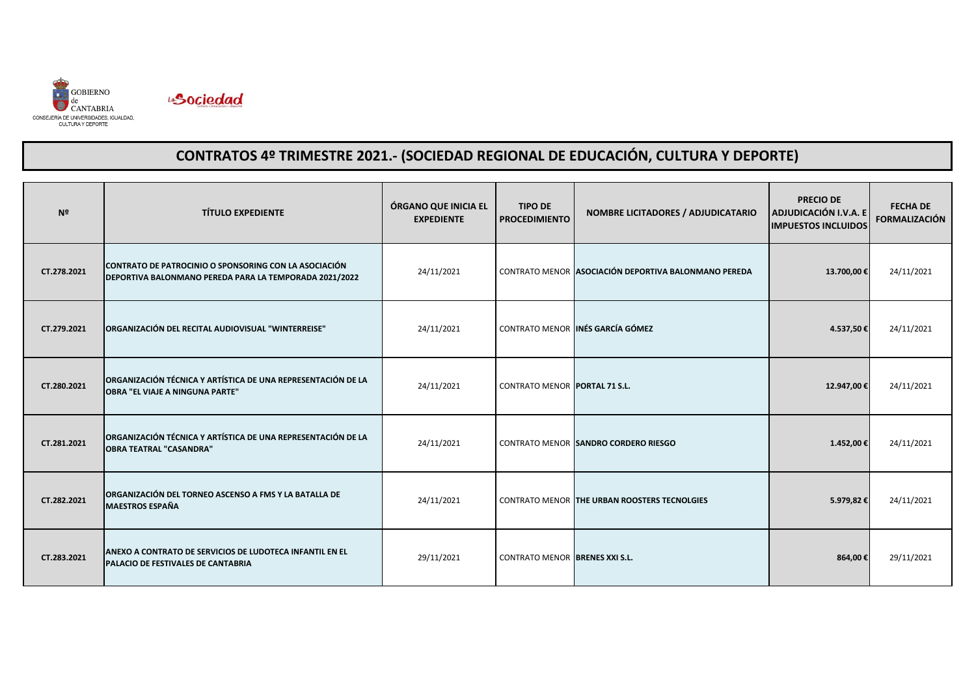



| N <sup>2</sup> | <b>TÍTULO EXPEDIENTE</b>                                                                                        | ÓRGANO QUE INICIA EL<br><b>EXPEDIENTE</b> | <b>TIPO DE</b><br><b>PROCEDIMIENTO</b> | NOMBRE LICITADORES / ADJUDICATARIO                   | <b>PRECIO DE</b><br>ADJUDICACIÓN I.V.A. E<br><b>IMPUESTOS INCLUIDOS</b> | <b>FECHA DE</b><br><b>FORMALIZACIÓN</b> |
|----------------|-----------------------------------------------------------------------------------------------------------------|-------------------------------------------|----------------------------------------|------------------------------------------------------|-------------------------------------------------------------------------|-----------------------------------------|
| CT.278.2021    | CONTRATO DE PATROCINIO O SPONSORING CON LA ASOCIACIÓN<br>DEPORTIVA BALONMANO PEREDA PARA LA TEMPORADA 2021/2022 | 24/11/2021                                |                                        | CONTRATO MENOR ASOCIACIÓN DEPORTIVA BALONMANO PEREDA | 13.700,00€                                                              | 24/11/2021                              |
| CT.279.2021    | ORGANIZACIÓN DEL RECITAL AUDIOVISUAL "WINTERREISE"                                                              | 24/11/2021                                |                                        | CONTRATO MENOR INÉS GARCÍA GÓMEZ                     | 4.537,50€                                                               | 24/11/2021                              |
| CT.280.2021    | ORGANIZACIÓN TÉCNICA Y ARTÍSTICA DE UNA REPRESENTACIÓN DE LA<br><b>OBRA "EL VIAJE A NINGUNA PARTE"</b>          | 24/11/2021                                | <b>CONTRATO MENOR PORTAL 71 S.L.</b>   |                                                      | 12.947,00€                                                              | 24/11/2021                              |
| CT.281.2021    | ORGANIZACIÓN TÉCNICA Y ARTÍSTICA DE UNA REPRESENTACIÓN DE LA<br><b>OBRA TEATRAL "CASANDRA"</b>                  | 24/11/2021                                |                                        | CONTRATO MENOR SANDRO CORDERO RIESGO                 | 1.452,00€                                                               | 24/11/2021                              |
| CT.282.2021    | ORGANIZACIÓN DEL TORNEO ASCENSO A FMS Y LA BATALLA DE<br><b>MAESTROS ESPAÑA</b>                                 | 24/11/2021                                |                                        | <b>CONTRATO MENOR THE URBAN ROOSTERS TECNOLGIES</b>  | 5.979,82€                                                               | 24/11/2021                              |
| CT.283.2021    | ANEXO A CONTRATO DE SERVICIOS DE LUDOTECA INFANTIL EN EL<br><b>PALACIO DE FESTIVALES DE CANTABRIA</b>           | 29/11/2021                                | <b>CONTRATO MENOR BRENES XXI S.L.</b>  |                                                      | 864,00€                                                                 | 29/11/2021                              |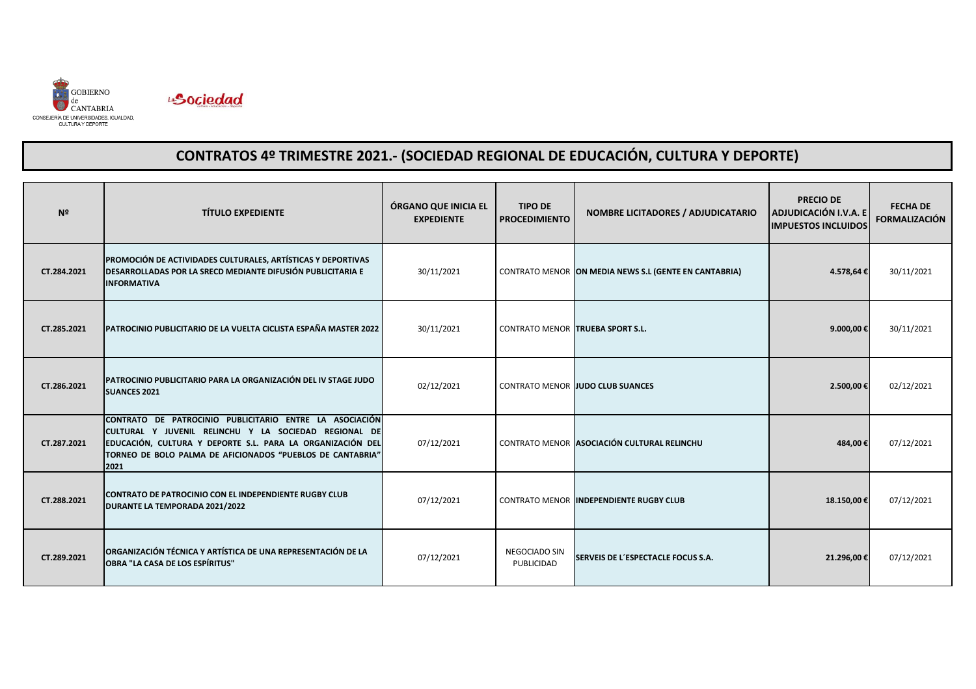



| N <sup>2</sup> | <b>TÍTULO EXPEDIENTE</b>                                                                                                                                                                                                                             | ÓRGANO QUE INICIA EL<br><b>EXPEDIENTE</b> | <b>TIPO DE</b><br><b>PROCEDIMIENTO</b>  | <b>NOMBRE LICITADORES / ADJUDICATARIO</b>             | <b>PRECIO DE</b><br>ADJUDICACIÓN I.V.A. E<br><b>IMPUESTOS INCLUIDOS</b> | <b>FECHA DE</b><br><b>FORMALIZACIÓN</b> |
|----------------|------------------------------------------------------------------------------------------------------------------------------------------------------------------------------------------------------------------------------------------------------|-------------------------------------------|-----------------------------------------|-------------------------------------------------------|-------------------------------------------------------------------------|-----------------------------------------|
| CT.284.2021    | PROMOCIÓN DE ACTIVIDADES CULTURALES, ARTÍSTICAS Y DEPORTIVAS<br><b>IDESARROLLADAS POR LA SRECD MEDIANTE DIFUSIÓN PUBLICITARIA E</b><br><b>IINFORMATIVA</b>                                                                                           | 30/11/2021                                |                                         | CONTRATO MENOR ON MEDIA NEWS S.L (GENTE EN CANTABRIA) | 4.578,64€                                                               | 30/11/2021                              |
| CT.285.2021    | PATROCINIO PUBLICITARIO DE LA VUELTA CICLISTA ESPAÑA MASTER 2022                                                                                                                                                                                     | 30/11/2021                                | <b>CONTRATO MENOR TRUEBA SPORT S.L.</b> |                                                       | 9.000,00€                                                               | 30/11/2021                              |
| CT.286.2021    | PATROCINIO PUBLICITARIO PARA LA ORGANIZACIÓN DEL IV STAGE JUDO<br><b>SUANCES 2021</b>                                                                                                                                                                | 02/12/2021                                |                                         | CONTRATO MENOR JUDO CLUB SUANCES                      | 2.500,00€                                                               | 02/12/2021                              |
| CT.287.2021    | CONTRATO DE PATROCINIO PUBLICITARIO ENTRE LA ASOCIACIÓN<br>CULTURAL Y JUVENIL RELINCHU Y LA SOCIEDAD REGIONAL DE<br>EDUCACIÓN, CULTURA Y DEPORTE S.L. PARA LA ORGANIZACIÓN DEL<br>TORNEO DE BOLO PALMA DE AFICIONADOS "PUEBLOS DE CANTABRIA"<br>2021 | 07/12/2021                                |                                         | CONTRATO MENOR ASOCIACIÓN CULTURAL RELINCHU           | 484,00€                                                                 | 07/12/2021                              |
| CT.288.2021    | <b>CONTRATO DE PATROCINIO CON EL INDEPENDIENTE RUGBY CLUB</b><br><b>DURANTE LA TEMPORADA 2021/2022</b>                                                                                                                                               | 07/12/2021                                |                                         | <b>CONTRATO MENOR INDEPENDIENTE RUGBY CLUB</b>        | 18.150,00€                                                              | 07/12/2021                              |
| CT.289.2021    | ORGANIZACIÓN TÉCNICA Y ARTÍSTICA DE UNA REPRESENTACIÓN DE LA<br><b>OBRA "LA CASA DE LOS ESPÍRITUS"</b>                                                                                                                                               | 07/12/2021                                | <b>NEGOCIADO SIN</b><br>PUBLICIDAD      | SERVEIS DE L'ESPECTACLE FOCUS S.A.                    | 21.296,00€                                                              | 07/12/2021                              |